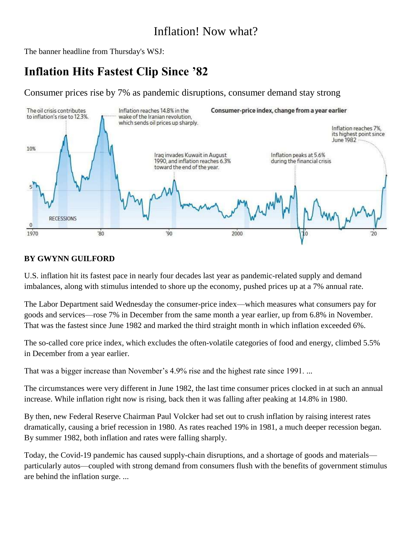### Inflation! Now what?

The banner headline from Thursday's WSJ:

## **Inflation Hits Fastest Clip Since '82**

Consumer prices rise by 7% as pandemic disruptions, consumer demand stay strong



#### **BY GWYNN GUILFORD**

U.S. inflation hit its fastest pace in nearly four decades last year as pandemic-related supply and demand imbalances, along with stimulus intended to shore up the economy, pushed prices up at a 7% annual rate.

The Labor Department said Wednesday the consumer-price index—which measures what consumers pay for goods and services—rose 7% in December from the same month a year earlier, up from 6.8% in November. That was the fastest since June 1982 and marked the third straight month in which inflation exceeded 6%.

The so-called core price index, which excludes the often-volatile categories of food and energy, climbed 5.5% in December from a year earlier.

That was a bigger increase than November's 4.9% rise and the highest rate since 1991. ...

The circumstances were very different in June 1982, the last time consumer prices clocked in at such an annual increase. While inflation right now is rising, back then it was falling after peaking at 14.8% in 1980.

By then, new Federal Reserve Chairman Paul Volcker had set out to crush inflation by raising interest rates dramatically, causing a brief recession in 1980. As rates reached 19% in 1981, a much deeper recession began. By summer 1982, both inflation and rates were falling sharply.

Today, the Covid-19 pandemic has caused supply-chain disruptions, and a shortage of goods and materials particularly autos—coupled with strong demand from consumers flush with the benefits of government stimulus are behind the inflation surge. ...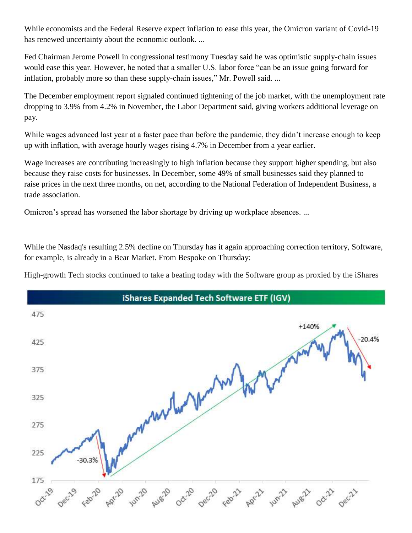While economists and the Federal Reserve expect inflation to ease this year, the Omicron variant of Covid-19 has renewed uncertainty about the economic outlook. ...

Fed Chairman Jerome Powell in congressional testimony Tuesday said he was optimistic supply-chain issues would ease this year. However, he noted that a smaller U.S. labor force "can be an issue going forward for inflation, probably more so than these supply-chain issues," Mr. Powell said. ...

The December employment report signaled continued tightening of the job market, with the unemployment rate dropping to 3.9% from 4.2% in November, the Labor Department said, giving workers additional leverage on pay.

While wages advanced last year at a faster pace than before the pandemic, they didn't increase enough to keep up with inflation, with average hourly wages rising 4.7% in December from a year earlier.

Wage increases are contributing increasingly to high inflation because they support higher spending, but also because they raise costs for businesses. In December, some 49% of small businesses said they planned to raise prices in the next three months, on net, according to the National Federation of Independent Business, a trade association.

Omicron's spread has worsened the labor shortage by driving up workplace absences. ...

While the Nasdaq's resulting 2.5% decline on Thursday has it again approaching correction territory, Software, for example, is already in a Bear Market. From Bespoke on Thursday:

High-growth Tech stocks continued to take a beating today with the Software group as proxied by the iShares

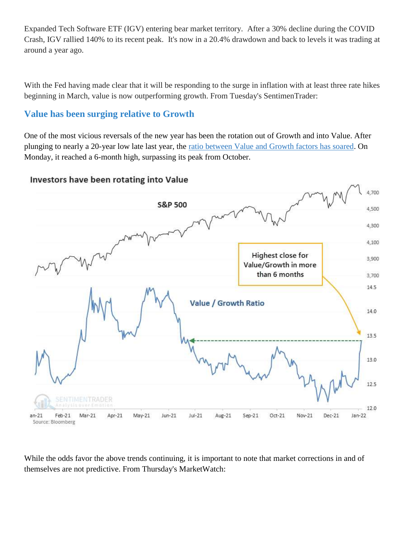Expanded Tech Software ETF (IGV) entering bear market territory. After a 30% decline during the COVID Crash, IGV rallied 140% to its recent peak. It's now in a 20.4% drawdown and back to levels it was trading at around a year ago.

With the Fed having made clear that it will be responding to the surge in inflation with at least three rate hikes beginning in March, value is now outperforming growth. From Tuesday's SentimenTrader:

### **Value has been surging relative to Growth**

One of the most vicious reversals of the new year has been the rotation out of Growth and into Value. After plunging to nearly a 20-year low late last year, the [ratio between Value and Growth factors has soared.](https://www.sentimentrader.com/blog/violent-rotations-into-value-usually-continue/) On Monday, it reached a 6-month high, surpassing its peak from October.

### Investors have been rotating into Value



While the odds favor the above trends continuing, it is important to note that market corrections in and of themselves are not predictive. From Thursday's MarketWatch: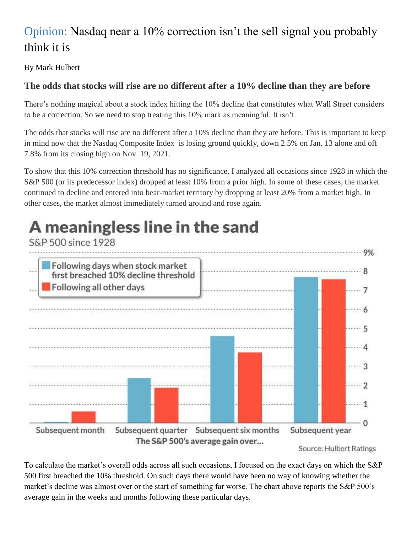# Opinion: Nasdaq near a 10% correction isn't the sell signal you probably think it is

By Mark [Hulbert](https://www.marketwatch.com/topics/journalists/mark-hulbert)

### **The odds that stocks will rise are no different after a 10% decline than they are before**

There's nothing magical about a stock index hitting the 10% decline that constitutes what Wall Street considers to be a correction. So we need to stop treating this 10% mark as meaningful. It isn't.

The odds that stocks will rise are no different after a 10% decline than they are before. This is important to keep in mind now that the Nasdaq Composite Index is losing ground quickly, down 2.5% on Jan. 13 alone and off 7.8% from its closing high on Nov. 19, 2021.

To show that this 10% correction threshold has no significance, I analyzed all occasions since 1928 in which the S&P 500 (or its predecessor index) dropped at least 10% from a prior high. In some of these cases, the market continued to decline and entered into bear-market territory by dropping at least 20% from a market high. In other cases, the market almost immediately turned around and rose again.

A meaningless line in the sand

### S&P 500 since 1928 Following days when stock market first breached 10% decline threshold Following all other days . . . . 7 .... 6 . . . . . 5 . . . . . 4 . . . . 3 . . . . . 2 ta kama a .... 1  $-0$ Subsequent month Subsequent quarter Subsequent six months Subsequent year The S&P 500's average gain over...

Source: Hulbert Ratings

To calculate the market's overall odds across all such occasions, I focused on the exact days on which the S&P 500 first breached the 10% threshold. On such days there would have been no way of knowing whether the market's decline was almost over or the start of something far worse. The chart above reports the S&P 500's average gain in the weeks and months following these particular days.